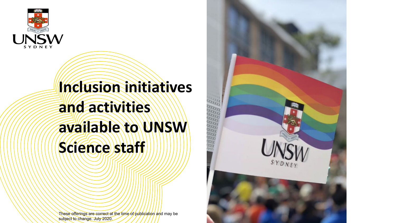

## **Inclusion initiatives and activities available to UNSW**  Science staff

These offerings are correct at the time of publication and may be subject to change. July 2020.

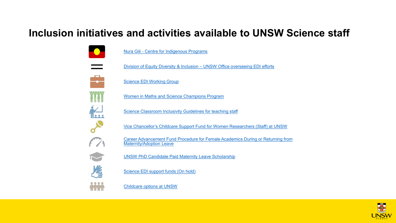## **Inclusion initiatives and activities available to UNSW Science staff**



Nura Gili - [Centre for Indigenous Programs](https://www.nuragili.unsw.edu.au/)

[Division of Equity Diversity & Inclusion –](https://www.edi.unsw.edu.au/) UNSW Office overseeing EDI efforts

Science EDI Working Group

[Women in Maths and Science Champions Program](https://blogs.unsw.edu.au/mathssciencechampions/)

[Science Classroom Inclusivity Guidelines for teaching staff](https://www.science.unsw.edu.au/engagement/equity-diversity-inclusion/classroom-inclusivity-guidelines)

Vice Chancellor's Childcare Support Fund for Women Researchers (Staff) at UNSW

Career Advancement Fund Procedure for Female Academics During or Returning from Maternity/Adoption Leave

[UNSW PhD Candidate Paid Maternity Leave Scholarship](https://research.unsw.edu.au/scholarships-and-financial-support)

[Science EDI support funds \(On hold\)](https://www.science.unsw.edu.au/engagement/equity-diversity-inclusion/science-edi-support-funds-awards-scholarships)

[Childcare options at UNSW](https://www.hr.unsw.edu.au/diversity/flexibility-leave/childcare.html)